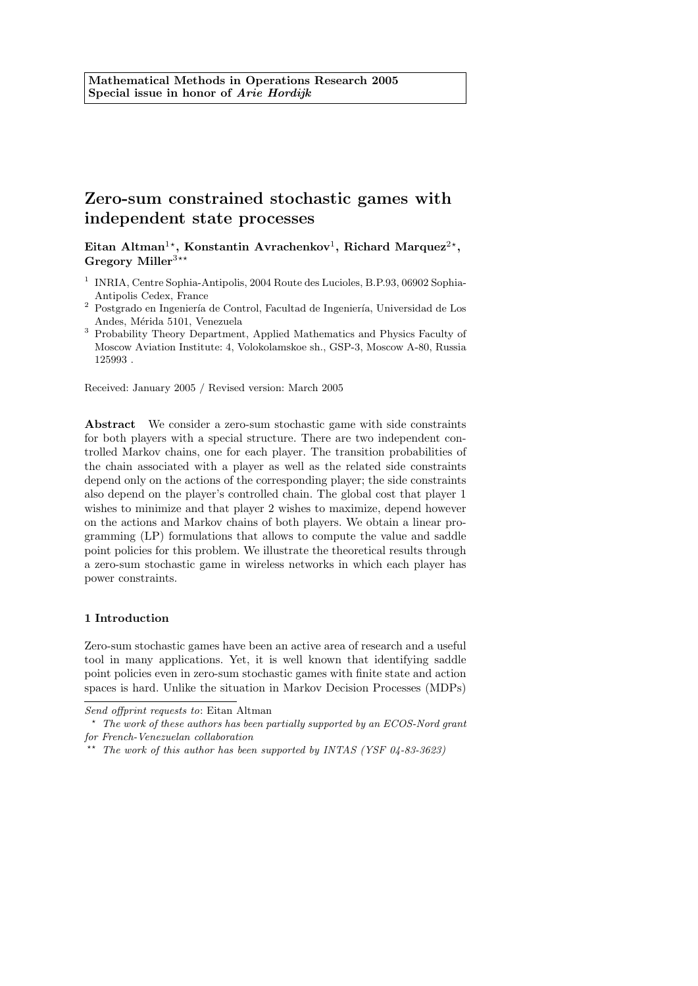# Zero-sum constrained stochastic games with independent state processes

Eitan Altman<sup>1\*</sup>, Konstantin Avrachenkov<sup>1</sup>, Richard Marquez<sup>2\*</sup>, Gregory Miller<sup>3\*\*</sup>

- <sup>1</sup> INRIA, Centre Sophia-Antipolis, 2004 Route des Lucioles, B.P.93, 06902 Sophia-Antipolis Cedex, France
- $2$  Postgrado en Ingeniería de Control, Facultad de Ingeniería, Universidad de Los Andes, Mérida 5101, Venezuela
- <sup>3</sup> Probability Theory Department, Applied Mathematics and Physics Faculty of Moscow Aviation Institute: 4, Volokolamskoe sh., GSP-3, Moscow A-80, Russia 125993 .

Received: January 2005 / Revised version: March 2005

Abstract We consider a zero-sum stochastic game with side constraints for both players with a special structure. There are two independent controlled Markov chains, one for each player. The transition probabilities of the chain associated with a player as well as the related side constraints depend only on the actions of the corresponding player; the side constraints also depend on the player's controlled chain. The global cost that player 1 wishes to minimize and that player 2 wishes to maximize, depend however on the actions and Markov chains of both players. We obtain a linear programming (LP) formulations that allows to compute the value and saddle point policies for this problem. We illustrate the theoretical results through a zero-sum stochastic game in wireless networks in which each player has power constraints.

## 1 Introduction

Zero-sum stochastic games have been an active area of research and a useful tool in many applications. Yet, it is well known that identifying saddle point policies even in zero-sum stochastic games with finite state and action spaces is hard. Unlike the situation in Markov Decision Processes (MDPs)

Send offprint requests to: Eitan Altman

 $*$  The work of these authors has been partially supported by an ECOS-Nord grant for French-Venezuelan collaboration

<sup>&</sup>lt;sup>t</sup> The work of this author has been supported by INTAS (YSF 04-83-3623)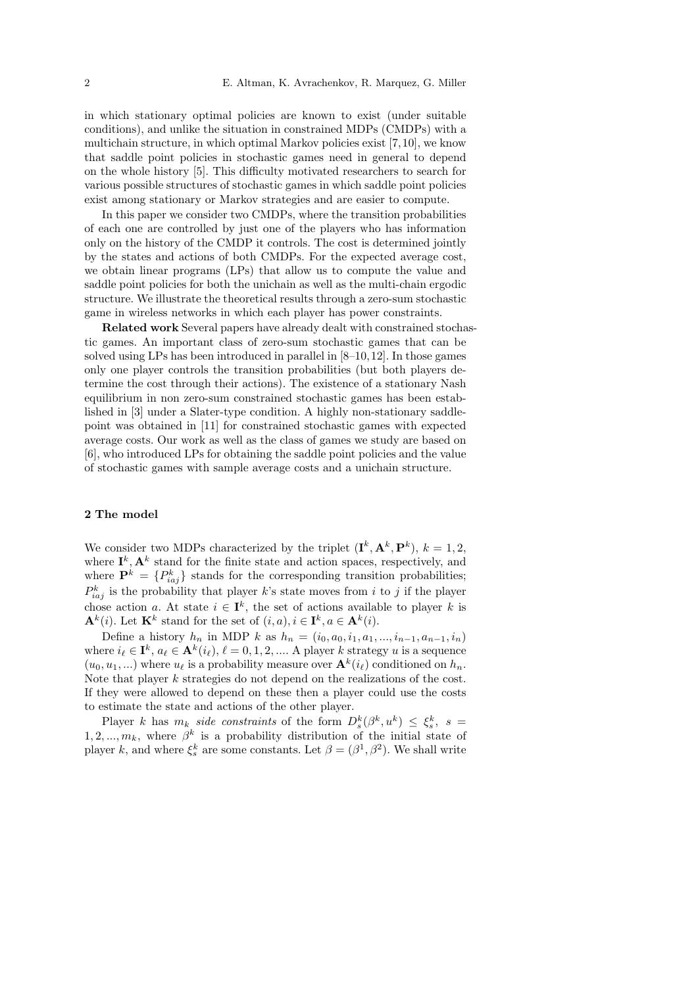in which stationary optimal policies are known to exist (under suitable conditions), and unlike the situation in constrained MDPs (CMDPs) with a multichain structure, in which optimal Markov policies exist [7, 10], we know that saddle point policies in stochastic games need in general to depend on the whole history [5]. This difficulty motivated researchers to search for various possible structures of stochastic games in which saddle point policies exist among stationary or Markov strategies and are easier to compute.

In this paper we consider two CMDPs, where the transition probabilities of each one are controlled by just one of the players who has information only on the history of the CMDP it controls. The cost is determined jointly by the states and actions of both CMDPs. For the expected average cost, we obtain linear programs (LPs) that allow us to compute the value and saddle point policies for both the unichain as well as the multi-chain ergodic structure. We illustrate the theoretical results through a zero-sum stochastic game in wireless networks in which each player has power constraints.

Related work Several papers have already dealt with constrained stochastic games. An important class of zero-sum stochastic games that can be solved using LPs has been introduced in parallel in [8–10, 12]. In those games only one player controls the transition probabilities (but both players determine the cost through their actions). The existence of a stationary Nash equilibrium in non zero-sum constrained stochastic games has been established in [3] under a Slater-type condition. A highly non-stationary saddlepoint was obtained in [11] for constrained stochastic games with expected average costs. Our work as well as the class of games we study are based on [6], who introduced LPs for obtaining the saddle point policies and the value of stochastic games with sample average costs and a unichain structure.

## 2 The model

We consider two MDPs characterized by the triplet  $(\mathbf{I}^k, \mathbf{A}^k, \mathbf{P}^k)$ ,  $k = 1, 2$ , where  $I^k$ ,  $\mathbf{A}^k$  stand for the finite state and action spaces, respectively, and where  $\mathbf{P}^k = \{P_{iaj}^k\}$  stands for the corresponding transition probabilities;  $P_{iaj}^k$  is the probability that player k's state moves from i to j if the player chose action a. At state  $i \in I^k$ , the set of actions available to player k is  $\mathbf{A}^k(i)$ . Let  $\mathbf{K}^k$  stand for the set of  $(i, a), i \in \mathbf{I}^k, a \in \mathbf{A}^k(i)$ .

Define a history  $h_n$  in MDP k as  $h_n = (i_0, a_0, i_1, a_1, ..., i_{n-1}, a_{n-1}, i_n)$ where  $i_\ell \in \mathbf{I}^k$ ,  $a_\ell \in \mathbf{A}^k(i_\ell), \ell = 0, 1, 2, \dots$  A player k strategy u is a sequence  $(u_0, u_1, \ldots)$  where  $u_\ell$  is a probability measure over  $\mathbf{A}^k(i_\ell)$  conditioned on  $h_n$ . Note that player k strategies do not depend on the realizations of the cost. If they were allowed to depend on these then a player could use the costs to estimate the state and actions of the other player.

Player k has  $m_k$  side constraints of the form  $D_s^k(\beta^k, u^k) \leq \xi_s^k$ ,  $s =$ 1, 2, ...,  $m_k$ , where  $\beta^k$  is a probability distribution of the initial state of player k, and where  $\xi_s^k$  are some constants. Let  $\beta = (\beta^1, \beta^2)$ . We shall write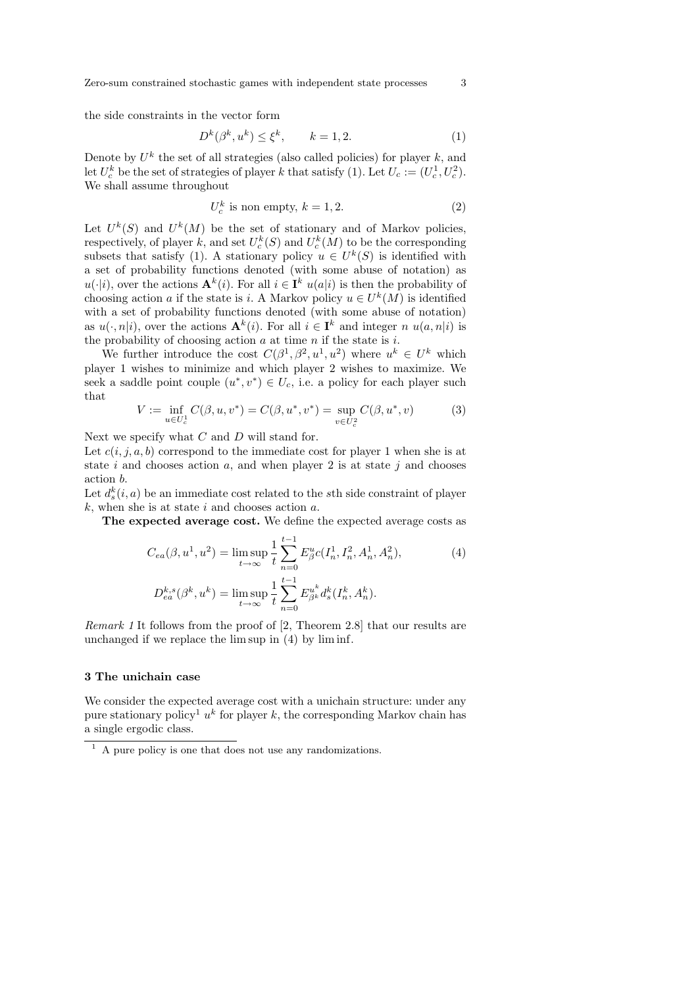Zero-sum constrained stochastic games with independent state processes 3

the side constraints in the vector form

$$
D^k(\beta^k, u^k) \le \xi^k, \qquad k = 1, 2. \tag{1}
$$

Denote by  $U^k$  the set of all strategies (also called policies) for player  $k$ , and let  $U_c^k$  be the set of strategies of player k that satisfy (1). Let  $U_c := (U_c^1, U_c^2)$ . We shall assume throughout

$$
U_c^k \text{ is non empty, } k = 1, 2. \tag{2}
$$

Let  $U^k(S)$  and  $U^k(M)$  be the set of stationary and of Markov policies, respectively, of player k, and set  $U_c^k(S)$  and  $U_c^k(M)$  to be the corresponding subsets that satisfy (1). A stationary policy  $u \in U^k(S)$  is identified with a set of probability functions denoted (with some abuse of notation) as  $u(\cdot|i)$ , over the actions  $\mathbf{A}^k(i)$ . For all  $i \in \mathbf{I}^k$   $u(a|i)$  is then the probability of choosing action a if the state is i. A Markov policy  $u \in U^k(M)$  is identified with a set of probability functions denoted (with some abuse of notation) as  $u(\cdot, n|i)$ , over the actions  $\mathbf{A}^k(i)$ . For all  $i \in \mathbf{I}^k$  and integer n  $u(a, n|i)$  is the probability of choosing action  $a$  at time  $n$  if the state is  $i$ .

We further introduce the cost  $C(\beta^1, \beta^2, u^1, u^2)$  where  $u^k \in U^k$  which player 1 wishes to minimize and which player 2 wishes to maximize. We seek a saddle point couple  $(u^*, v^*) \in U_c$ , i.e. a policy for each player such that

$$
V := \inf_{u \in U_c^1} C(\beta, u, v^*) = C(\beta, u^*, v^*) = \sup_{v \in U_c^2} C(\beta, u^*, v)
$$
(3)

Next we specify what  $C$  and  $D$  will stand for.

Let  $c(i, j, a, b)$  correspond to the immediate cost for player 1 when she is at state i and chooses action a, and when player 2 is at state j and chooses action b.

Let  $d_s^k(i, a)$  be an immediate cost related to the sth side constraint of player  $k$ , when she is at state i and chooses action a.

The expected average cost. We define the expected average costs as

$$
C_{ea}(\beta, u^{1}, u^{2}) = \limsup_{t \to \infty} \frac{1}{t} \sum_{n=0}^{t-1} E_{\beta}^{u} c(I_{n}^{1}, I_{n}^{2}, A_{n}^{1}, A_{n}^{2}),
$$
\n
$$
D_{ea}^{k,s}(\beta^{k}, u^{k}) = \limsup_{t \to \infty} \frac{1}{t} \sum_{n=0}^{t-1} E_{\beta^{k}}^{u^{k}} d_{s}^{k}(I_{n}^{k}, A_{n}^{k}).
$$
\n(4)

Remark 1 It follows from the proof of [2, Theorem 2.8] that our results are unchanged if we replace the lim sup in (4) by lim inf.

#### 3 The unichain case

We consider the expected average cost with a unichain structure: under any pure stationary policy<sup>1</sup>  $u^k$  for player k, the corresponding Markov chain has a single ergodic class.

 $\overline{1}$  A pure policy is one that does not use any randomizations.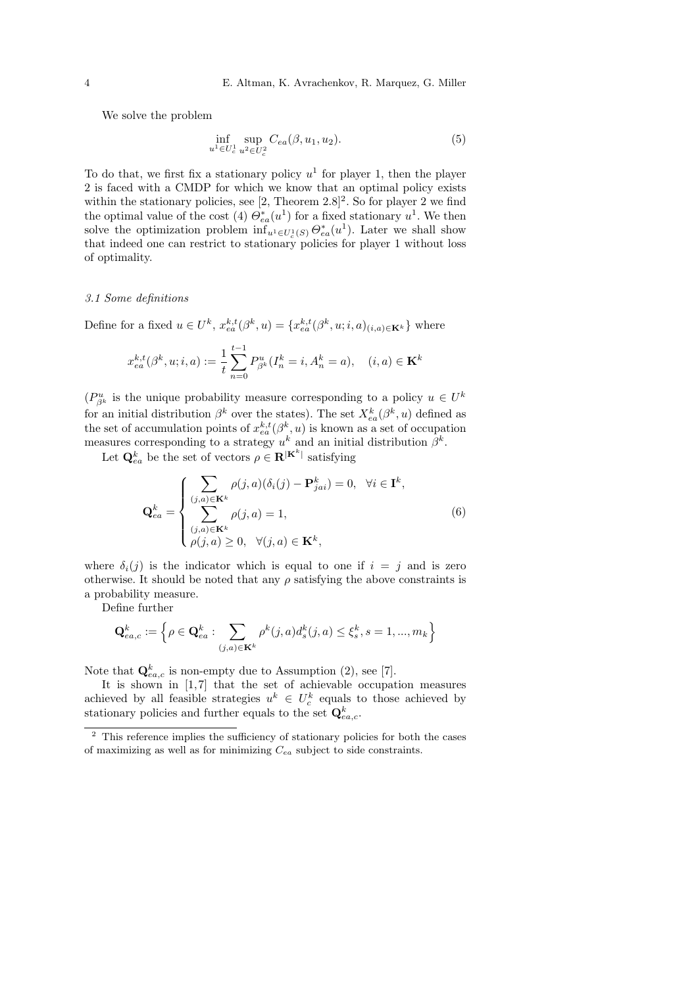We solve the problem

$$
\inf_{u^1 \in U_c^1} \sup_{u^2 \in U_c^2} C_{ea}(\beta, u_1, u_2). \tag{5}
$$

To do that, we first fix a stationary policy  $u^1$  for player 1, then the player 2 is faced with a CMDP for which we know that an optimal policy exists within the stationary policies, see  $[2,$  Theorem  $2.8]^2$ . So for player 2 we find the optimal value of the cost (4)  $\Theta_{ea}^*(u^1)$  for a fixed stationary  $u^1$ . We then solve the optimization problem  $\inf_{u^1 \in U_c^1(S)} \Theta_{ea}^*(u^1)$ . Later we shall show that indeed one can restrict to stationary policies for player 1 without loss of optimality.

#### 3.1 Some definitions

Define for a fixed  $u \in U^k$ ,  $x_{ea}^{k,t}(\beta^k, u) = \{x_{ea}^{k,t}(\beta^k, u; i, a)_{(i,a) \in \mathbf{K}^k}\}\$  where

$$
x_{ea}^{k,t}(\beta^k, u; i, a) := \frac{1}{t} \sum_{n=0}^{t-1} P_{\beta^k}^u(I_n^k = i, A_n^k = a), \quad (i, a) \in \mathbf{K}^k
$$

 $(P_{\beta^k}^u)$  is the unique probability measure corresponding to a policy  $u \in U^k$ for an initial distribution  $\beta^k$  over the states). The set  $X_{ea}^k(\beta^k, u)$  defined as the set of accumulation points of  $x_{ea}^{k,t}(\beta^k, u)$  is known as a set of occupation measures corresponding to a strategy  $u^k$  and an initial distribution  $\beta^k$ .

Let  $\mathbf{Q}_{ea}^{k}$  be the set of vectors  $\rho \in \mathbf{R}^{|\mathbf{K}^{k}|}$  satisfying

$$
\mathbf{Q}_{ea}^{k} = \begin{cases} \sum_{(j,a) \in \mathbf{K}^{k}} \rho(j,a)(\delta_{i}(j) - \mathbf{P}_{jai}^{k}) = 0, & \forall i \in \mathbf{I}^{k}, \\ \sum_{(j,a) \in \mathbf{K}^{k}} \rho(j,a) = 1, & (6) \\ \rho(j,a) \ge 0, & \forall (j,a) \in \mathbf{K}^{k}, \end{cases}
$$

where  $\delta_i(j)$  is the indicator which is equal to one if  $i = j$  and is zero otherwise. It should be noted that any  $\rho$  satisfying the above constraints is a probability measure.

Define further

$$
\mathbf{Q}_{ea,c}^k := \left\{ \rho \in \mathbf{Q}_{ea}^k : \sum_{(j,a) \in \mathbf{K}^k} \rho^k(j,a) d_s^k(j,a) \le \xi_s^k, s = 1, ..., m_k \right\}
$$

Note that  $\mathbf{Q}_{ea,c}^{k}$  is non-empty due to Assumption (2), see [7].

It is shown in [1,7] that the set of achievable occupation measures achieved by all feasible strategies  $u^k \in U_c^k$  equals to those achieved by stationary policies and further equals to the set  $\mathbf{Q}_{ea,c}^k$ .

<sup>&</sup>lt;sup>2</sup> This reference implies the sufficiency of stationary policies for both the cases of maximizing as well as for minimizing  $C_{ea}$  subject to side constraints.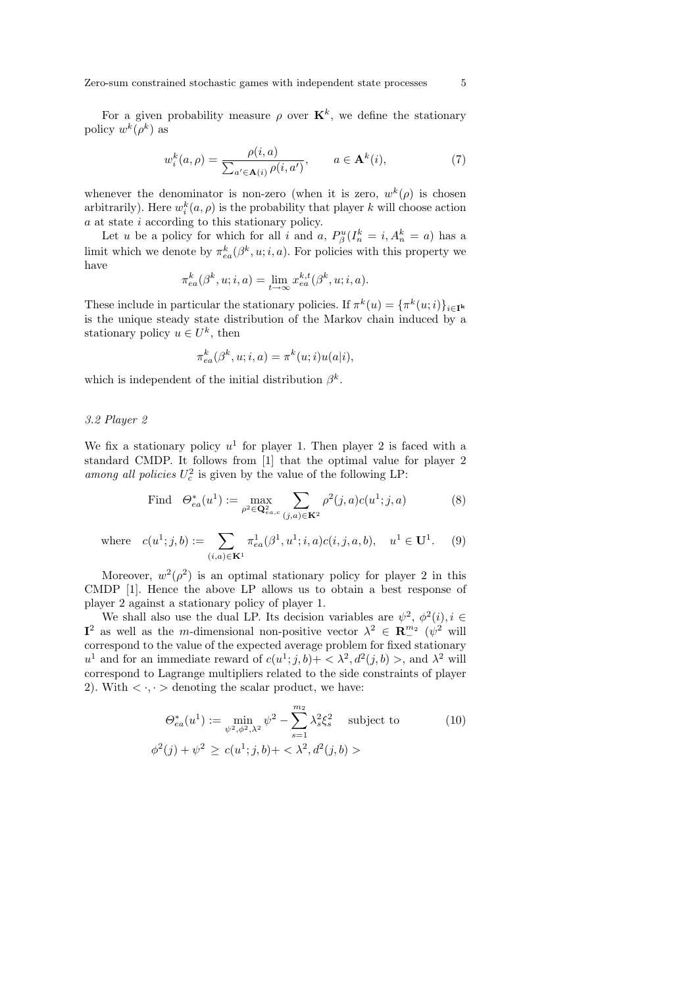For a given probability measure  $\rho$  over  $\mathbf{K}^k$ , we define the stationary policy  $w^k(\rho^k)$  as

$$
w_i^k(a,\rho) = \frac{\rho(i,a)}{\sum_{a' \in \mathbf{A}(i)} \rho(i,a')}, \qquad a \in \mathbf{A}^k(i),\tag{7}
$$

whenever the denominator is non-zero (when it is zero,  $w^k(\rho)$  is chosen arbitrarily). Here  $w_i^k(a, \rho)$  is the probability that player k will choose action a at state i according to this stationary policy.

Let u be a policy for which for all i and a,  $P_{\beta}^{u}(I_{n}^{k} = i, A_{n}^{k} = a)$  has a limit which we denote by  $\pi_{ea}^k(\beta^k, u; i, a)$ . For policies with this property we have

$$
\pi_{ea}^k(\beta^k, u; i, a) = \lim_{t \to \infty} x_{ea}^{k,t}(\beta^k, u; i, a).
$$

These include in particular the stationary policies. If  $\pi^k(u) = {\pi^k(u; i)}_{i \in \mathbb{I}^k}$ is the unique steady state distribution of the Markov chain induced by a stationary policy  $u \in U^k$ , then

$$
\pi_{ea}^k(\beta^k, u; i, a) = \pi^k(u; i)u(a|i),
$$

which is independent of the initial distribution  $\beta^k$ .

# 3.2 Player 2

We fix a stationary policy  $u^1$  for player 1. Then player 2 is faced with a standard CMDP. It follows from [1] that the optimal value for player 2 among all policies  $U_c^2$  is given by the value of the following LP:

Find 
$$
\Theta_{ea}^{*}(u^{1}) := \max_{\rho^{2} \in \mathbf{Q}_{ea,c}^{2}} \sum_{(j,a) \in \mathbf{K}^{2}} \rho^{2}(j,a)c(u^{1};j,a)
$$
 (8)

where 
$$
c(u^1; j, b) := \sum_{(i,a)\in \mathbf{K}^1} \pi_{ea}^1(\beta^1, u^1; i, a) c(i, j, a, b), \quad u^1 \in \mathbf{U}^1.
$$
 (9)

Moreover,  $w^2(\rho^2)$  is an optimal stationary policy for player 2 in this CMDP [1]. Hence the above LP allows us to obtain a best response of player 2 against a stationary policy of player 1.

We shall also use the dual LP. Its decision variables are  $\psi^2$ ,  $\phi^2(i)$ ,  $i \in$  $I^2$  as well as the *m*-dimensional non-positive vector  $\lambda^2 \in \mathbb{R}^{m_2}$  ( $\dot{\psi}^2$  will correspond to the value of the expected average problem for fixed stationary u<sup>1</sup> and for an immediate reward of  $c(u^1;j,b) + \langle \lambda^2, d^2(j,b) \rangle$ , and  $\lambda^2$  will correspond to Lagrange multipliers related to the side constraints of player 2). With  $\langle \cdot, \cdot \rangle$  denoting the scalar product, we have:

$$
\Theta_{ea}^{*}(u^{1}) := \min_{\psi^{2}, \phi^{2}, \lambda^{2}} \psi^{2} - \sum_{s=1}^{m_{2}} \lambda_{s}^{2} \xi_{s}^{2} \text{ subject to}
$$
\n
$$
\phi^{2}(j) + \psi^{2} \ge c(u^{1}; j, b) + \langle \lambda^{2}, d^{2}(j, b) \rangle
$$
\n(10)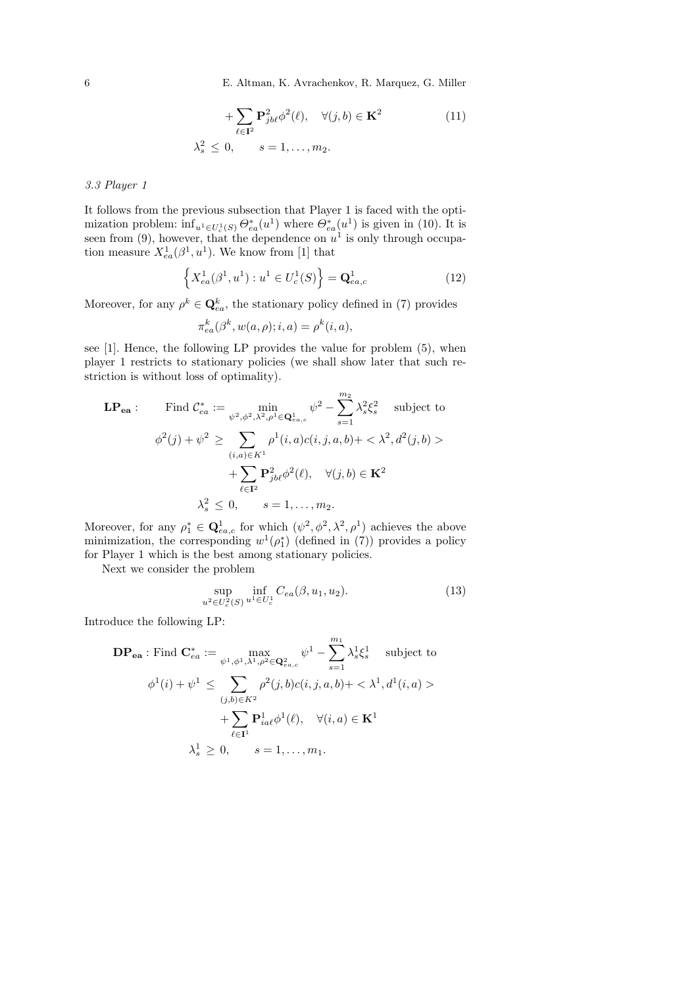6 E. Altman, K. Avrachenkov, R. Marquez, G. Miller

+ 
$$
\sum_{\ell \in \mathbf{I}^2} \mathbf{P}_{jb\ell}^2 \phi^2(\ell), \quad \forall (j, b) \in \mathbf{K}^2
$$
  
\n $\lambda_s^2 \leq 0, \quad s = 1, \dots, m_2.$  (11)

# 3.3 Player 1

It follows from the previous subsection that Player 1 is faced with the optimization problem:  $\inf_{u^1 \in U_c^1(S)} \Theta_{ea}^*(u^1)$  where  $\Theta_{ea}^*(u^1)$  is given in (10). It is seen from (9), however, that the dependence on  $u^1$  is only through occupation measure  $X_{ea}^1(\beta^1, u^1)$ . We know from [1] that

$$
\left\{ X_{ea}^{1}(\beta^{1}, u^{1}) : u^{1} \in U_{c}^{1}(S) \right\} = \mathbf{Q}_{ea,c}^{1}
$$
 (12)

Moreover, for any  $\rho^k \in \mathbf{Q}_{ea}^k$ , the stationary policy defined in (7) provides

$$
\pi_{ea}^k(\beta^k, w(a,\rho); i, a) = \rho^k(i,a),
$$

see [1]. Hence, the following LP provides the value for problem (5), when player 1 restricts to stationary policies (we shall show later that such restriction is without loss of optimality).

$$
\mathbf{LP}_{ea}: \quad \text{Find } \mathcal{C}_{ea}^* := \min_{\psi^2, \phi^2, \lambda^2, \rho^1 \in \mathbf{Q}_{ea,c}^1} \psi^2 - \sum_{s=1}^{m_2} \lambda_s^2 \xi_s^2 \quad \text{subject to}
$$
\n
$$
\phi^2(j) + \psi^2 \ge \sum_{(i,a) \in K^1} \rho^1(i,a)c(i,j,a,b) + \langle \lambda^2, d^2(j,b) \rangle + \sum_{\ell \in \mathbf{I}^2} \mathbf{P}_{jbb}^2 \phi^2(\ell), \quad \forall (j,b) \in \mathbf{K}^2
$$
\n
$$
\lambda_s^2 \le 0, \quad s = 1, \dots, m_2.
$$

Moreover, for any  $\rho_1^* \in \mathbf{Q}_{ea,c}^1$  for which  $(\psi^2, \phi^2, \lambda^2, \rho^1)$  achieves the above minimization, the corresponding  $w^1(\rho_1^*)$  (defined in (7)) provides a policy for Player 1 which is the best among stationary policies.

Next we consider the problem

$$
\sup_{u^2 \in U_c^2(S)} \inf_{u^1 \in U_c^1} C_{ea}(\beta, u_1, u_2). \tag{13}
$$

Introduce the following LP:

$$
\mathbf{DP}_{\mathbf{ea}} : \text{Find } \mathbf{C}_{ea}^* := \max_{\psi^1, \phi^1, \lambda^1, \rho^2 \in \mathbf{Q}_{ea,c}^2} \psi^1 - \sum_{s=1}^{m_1} \lambda_s^1 \xi_s^1 \quad \text{subject to}
$$
\n
$$
\phi^1(i) + \psi^1 \leq \sum_{(j,b) \in K^2} \rho^2(j,b)c(i,j,a,b) + \langle \lambda^1, d^1(i,a) \rangle
$$
\n
$$
+ \sum_{\ell \in \mathbf{I}^1} \mathbf{P}_{ia\ell}^1 \phi^1(\ell), \quad \forall (i,a) \in \mathbf{K}^1
$$
\n
$$
\lambda_s^1 \geq 0, \quad s = 1, \dots, m_1.
$$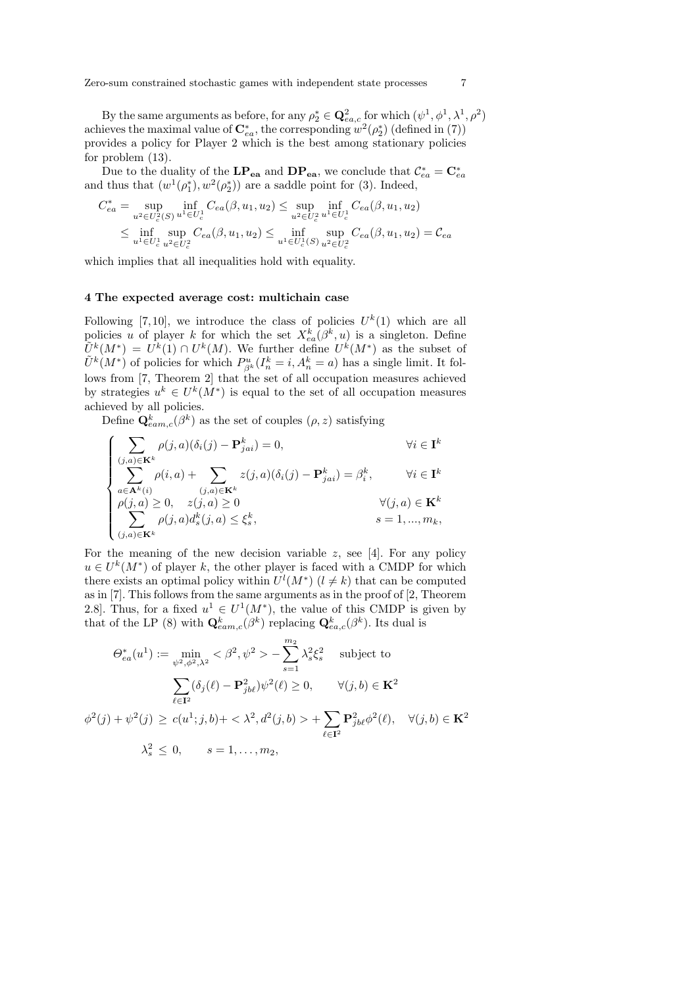Zero-sum constrained stochastic games with independent state processes 7

By the same arguments as before, for any  $\rho_2^* \in \mathbb{Q}_{ea,c}^2$  for which  $(\psi^1, \phi^1, \lambda^1, \rho^2)$ achieves the maximal value of  $\mathbf{C}^*_{ea}$ , the corresponding  $w^2(\rho_2^*)$  (defined in (7)) provides a policy for Player 2 which is the best among stationary policies for problem (13).

Due to the duality of the LP<sub>ea</sub> and DP<sub>ea</sub>, we conclude that  $\mathcal{C}_{ea}^* = \mathbf{C}_{ea}^*$ and thus that  $(w^1(\rho_1^*), w^2(\rho_2^*))$  are a saddle point for (3). Indeed,

$$
C_{ea}^{*} = \sup_{u^{2} \in U_{c}^{2}(S)} \inf_{u^{1} \in U_{c}^{1}} C_{ea}(\beta, u_{1}, u_{2}) \le \sup_{u^{2} \in U_{c}^{2}} \inf_{u^{1} \in U_{c}^{1}} C_{ea}(\beta, u_{1}, u_{2})
$$
  
 
$$
\le \inf_{u^{1} \in U_{c}^{1}} \sup_{u^{2} \in U_{c}^{2}} C_{ea}(\beta, u_{1}, u_{2}) \le \inf_{u^{1} \in U_{c}^{1}(S)} \sup_{u^{2} \in U_{c}^{2}} C_{ea}(\beta, u_{1}, u_{2}) = C_{ea}
$$

which implies that all inequalities hold with equality.

#### 4 The expected average cost: multichain case

Following [7,10], we introduce the class of policies  $U^k(1)$  which are all policies u of player k for which the set  $X_{ea}^{k}(\beta^{k},u)$  is a singleton. Define  $\tilde{U}^k(M^*) = U^k(1) \cap U^k(M)$ . We further define  $U^k(M^*)$  as the subset of  $\tilde{U}^k(M^*)$  of policies for which  $P_{\beta^k}^u(I_n^k = i, A_n^k = a)$  has a single limit. It follows from [7, Theorem 2] that the set of all occupation measures achieved by strategies  $u^k \in U^k(M^*)$  is equal to the set of all occupation measures achieved by all policies.

Define  $\mathbf{Q}_{eam,c}^{k}(\beta^{k})$  as the set of couples  $(\rho, z)$  satisfying

$$
\begin{cases}\n\sum_{(j,a)\in\mathbf{K}^k} \rho(j,a)(\delta_i(j) - \mathbf{P}_{jai}^k) = 0, & \forall i \in \mathbf{I}^k \\
\sum_{a\in\mathbf{A}^k(i)} \rho(i,a) + \sum_{(j,a)\in\mathbf{K}^k} z(j,a)(\delta_i(j) - \mathbf{P}_{jai}^k) = \beta_i^k, & \forall i \in \mathbf{I}^k \\
\rho(j,a) \ge 0, & z(j,a) \ge 0 \\
\sum_{(j,a)\in\mathbf{K}^k} \rho(j,a)d_s^k(j,a) \le \xi_s^k, & s = 1,...,m_k,\n\end{cases}
$$

For the meaning of the new decision variable  $z$ , see [4]. For any policy  $u \in U^k(M^*)$  of player k, the other player is faced with a CMDP for which there exists an optimal policy within  $U^{l}(M^*)$   $(l \neq k)$  that can be computed as in [7]. This follows from the same arguments as in the proof of [2, Theorem 2.8. Thus, for a fixed  $u^1 \in U^1(M^*)$ , the value of this CMDP is given by that of the LP (8) with  $\mathbf{Q}_{eam,c}^k(\beta^k)$  replacing  $\mathbf{Q}_{ea,c}^k(\beta^k)$ . Its dual is

$$
\Theta_{ea}^{*}(u^{1}) := \min_{\psi^{2}, \phi^{2}, \lambda^{2}} < \beta^{2}, \psi^{2} > -\sum_{s=1}^{m_{2}} \lambda_{s}^{2} \xi_{s}^{2} \text{ subject to}
$$

$$
\sum_{\ell \in \mathbf{I}^{2}} (\delta_{j}(\ell) - \mathbf{P}_{jb\ell}^{2}) \psi^{2}(\ell) \ge 0, \qquad \forall (j, b) \in \mathbf{K}^{2}
$$

$$
\phi^{2}(j) + \psi^{2}(j) \ge c(u^{1}; j, b) + \langle \lambda^{2}, d^{2}(j, b) \rangle + \sum_{\ell \in \mathbf{I}^{2}} \mathbf{P}_{jb\ell}^{2} \phi^{2}(\ell), \quad \forall (j, b) \in \mathbf{K}^{2}
$$

$$
\lambda_{s}^{2} \le 0, \qquad s = 1, ..., m_{2},
$$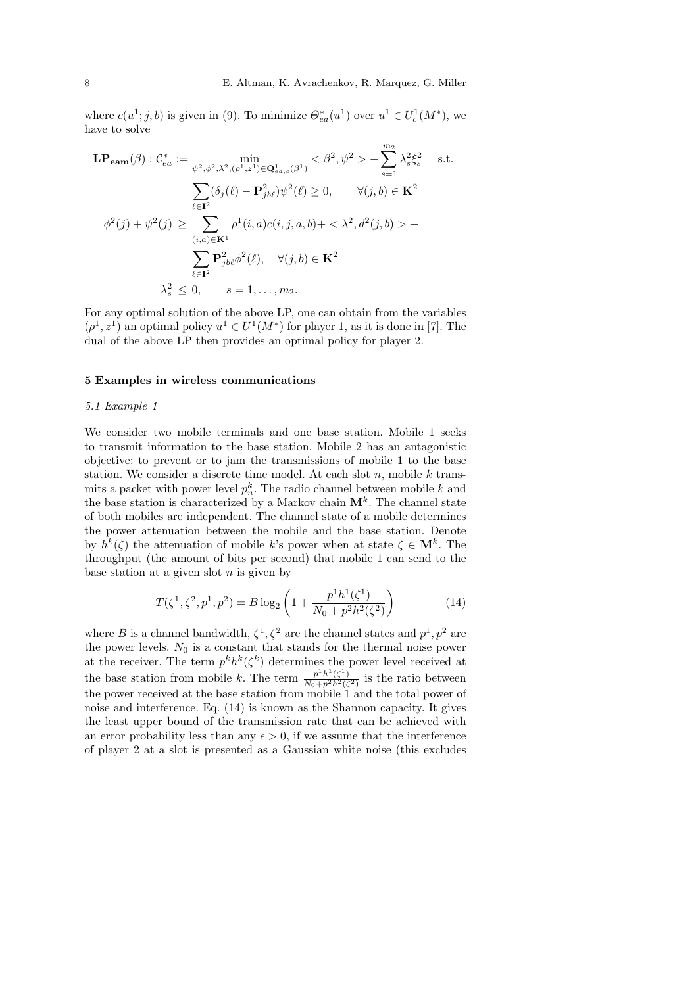where  $c(u^1; j, b)$  is given in (9). To minimize  $\Theta_{ea}^*(u^1)$  over  $u^1 \in U_c^1(M^*)$ , we have to solve

$$
\mathbf{LP}_{\mathbf{eam}}(\beta) : C_{ea}^{*} := \min_{\psi^{2}, \phi^{2}, \lambda^{2}, (\rho^{1}, z^{1}) \in \mathbf{Q}_{ea,c}^{1}(\beta^{1})} < \beta^{2}, \psi^{2} > -\sum_{s=1}^{m_{2}} \lambda_{s}^{2} \xi_{s}^{2} \quad \text{s.t.}
$$

$$
\sum_{\ell \in \mathbf{I}^{2}} (\delta_{j}(\ell) - \mathbf{P}_{j b \ell}^{2}) \psi^{2}(\ell) \ge 0, \qquad \forall (j, b) \in \mathbf{K}^{2}
$$

$$
\phi^{2}(j) + \psi^{2}(j) \ge \sum_{(i, a) \in \mathbf{K}^{1}} \rho^{1}(i, a) c(i, j, a, b) + \langle \lambda^{2}, d^{2}(j, b) \rangle + \sum_{\ell \in \mathbf{I}^{2}} \mathbf{P}_{j b \ell}^{2} \phi^{2}(\ell), \quad \forall (j, b) \in \mathbf{K}^{2}
$$

$$
\lambda_{s}^{2} \le 0, \qquad s = 1, ..., m_{2}.
$$

For any optimal solution of the above LP, one can obtain from the variables  $(\rho^1, z^1)$  an optimal policy  $u^1 \in U^1(M^*)$  for player 1, as it is done in [7]. The dual of the above LP then provides an optimal policy for player 2.

#### 5 Examples in wireless communications

#### 5.1 Example 1

We consider two mobile terminals and one base station. Mobile 1 seeks to transmit information to the base station. Mobile 2 has an antagonistic objective: to prevent or to jam the transmissions of mobile 1 to the base station. We consider a discrete time model. At each slot  $n$ , mobile  $k$  transmits a packet with power level  $p_n^k$ . The radio channel between mobile k and the base station is characterized by a Markov chain  $\mathbf{M}^{k}$ . The channel state of both mobiles are independent. The channel state of a mobile determines the power attenuation between the mobile and the base station. Denote by  $h^k(\zeta)$  the attenuation of mobile k's power when at state  $\zeta \in \mathbf{M}^k$ . The throughput (the amount of bits per second) that mobile 1 can send to the base station at a given slot  $n$  is given by

$$
T(\zeta^1, \zeta^2, p^1, p^2) = B \log_2 \left( 1 + \frac{p^1 h^1(\zeta^1)}{N_0 + p^2 h^2(\zeta^2)} \right)
$$
 (14)

where B is a channel bandwidth,  $\zeta^1$ ,  $\zeta^2$  are the channel states and  $p^1$ ,  $p^2$  are the power levels.  $N_0$  is a constant that stands for the thermal noise power at the receiver. The term  $p^k h^k(\zeta^k)$  determines the power level received at the base station from mobile k. The term  $\frac{p^1 h^1(\zeta^1)}{N_0 + p^2 h^2(\zeta^2)}$  is the ratio between the power received at the base station from mobile 1 and the total power of noise and interference. Eq. (14) is known as the Shannon capacity. It gives the least upper bound of the transmission rate that can be achieved with an error probability less than any  $\epsilon > 0$ , if we assume that the interference of player 2 at a slot is presented as a Gaussian white noise (this excludes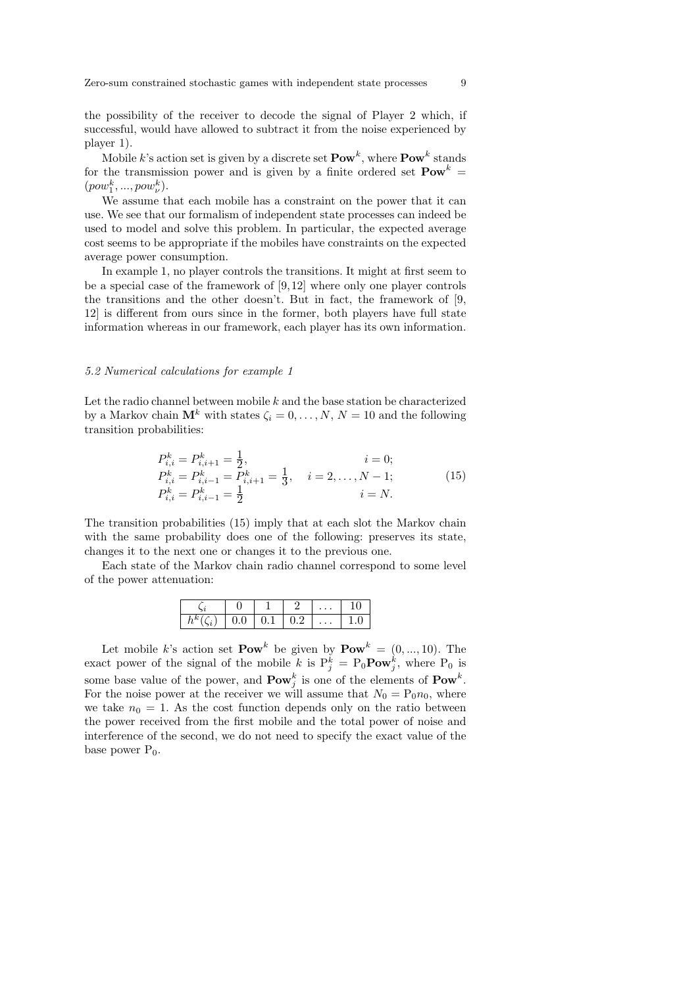the possibility of the receiver to decode the signal of Player 2 which, if successful, would have allowed to subtract it from the noise experienced by player 1).

Mobile k's action set is given by a discrete set  $\text{Pow}^k$ , where  $\text{Pow}^k$  stands for the transmission power and is given by a finite ordered set  $\text{Pow}^k$  =  $(pow_1^k, ..., pow_\nu^k)$ .

We assume that each mobile has a constraint on the power that it can use. We see that our formalism of independent state processes can indeed be used to model and solve this problem. In particular, the expected average cost seems to be appropriate if the mobiles have constraints on the expected average power consumption.

In example 1, no player controls the transitions. It might at first seem to be a special case of the framework of  $[9,12]$  where only one player controls the transitions and the other doesn't. But in fact, the framework of [9, 12] is different from ours since in the former, both players have full state information whereas in our framework, each player has its own information.

### 5.2 Numerical calculations for example 1

Let the radio channel between mobile  $k$  and the base station be characterized by a Markov chain  $\mathbf{M}^k$  with states  $\zeta_i = 0, \ldots, N, N = 10$  and the following transition probabilities:

$$
P_{i,i}^k = P_{i,i+1}^k = \frac{1}{2}, \qquad i = 0; P_{i,i}^k = P_{i,i-1}^k = P_{i,i+1}^k = \frac{1}{3}, \quad i = 2, ..., N-1; P_{i,i}^k = P_{i,i-1}^k = \frac{1}{2} \qquad i = N.
$$
 (15)

The transition probabilities (15) imply that at each slot the Markov chain with the same probability does one of the following: preserves its state, changes it to the next one or changes it to the previous one.

Each state of the Markov chain radio channel correspond to some level of the power attenuation:

|                          |     |                               | $\cdots$ |          |
|--------------------------|-----|-------------------------------|----------|----------|
| $\overline{\phantom{a}}$ | J.U | $\mathsf{v} \cdot \mathsf{r}$ | $\cdots$ | . .<br>◡ |

Let mobile k's action set  $\text{Pow}^k$  be given by  $\text{Pow}^k = (0, ..., 10)$ . The exact power of the signal of the mobile k is  $P_j^k = P_0 \text{Pow}_j^k$ , where  $P_0$  is some base value of the power, and  $\text{Pow}_j^k$  is one of the elements of  $\text{Pow}^k$ . For the noise power at the receiver we will assume that  $N_0 = P_0 n_0$ , where we take  $n_0 = 1$ . As the cost function depends only on the ratio between the power received from the first mobile and the total power of noise and interference of the second, we do not need to specify the exact value of the base power  $P_0$ .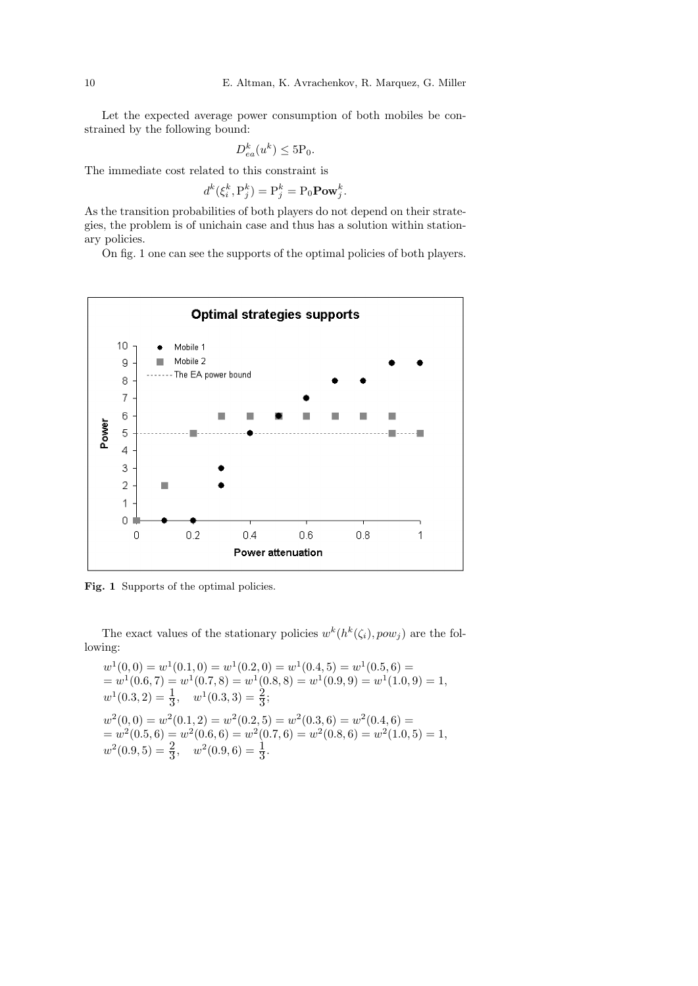Let the expected average power consumption of both mobiles be constrained by the following bound:

$$
D_{ea}^k(u^k) \le 5\mathcal{P}_0.
$$

The immediate cost related to this constraint is

$$
d^k(\xi_i^k, \mathbf{P}_j^k) = \mathbf{P}_j^k = \mathbf{P}_0 \mathbf{Pow}_j^k.
$$

As the transition probabilities of both players do not depend on their strategies, the problem is of unichain case and thus has a solution within stationary policies.

On fig. 1 one can see the supports of the optimal policies of both players.



Fig. 1 Supports of the optimal policies.

The exact values of the stationary policies  $w^k(h^k(\zeta_i), pow_j)$  are the following:

 $w^1(0,0) = w^1(0.1,0) = w^1(0.2,0) = w^1(0.4,5) = w^1(0.5,6) =$  $= w^1(0.6, 7) = w^1(0.7, 8) = w^1(0.8, 8) = w^1(0.9, 9) = w^1(1.0, 9) = 1,$  $w^1(0.3, 2) = \frac{1}{3}, \quad w^1(0.3, 3) = \frac{2}{3};$  $w^2(0,0) = w^2(0.1, 2) = w^2(0.2, 5) = w^2(0.3, 6) = w^2(0.4, 6) =$  $= w^2(0.5, 6) = w^2(0.6, 6) = w^2(0.7, 6) = w^2(0.8, 6) = w^2(1.0, 5) = 1,$  $w^2(0.9, 5) = \frac{2}{3}, \quad w^2(0.9, 6) = \frac{1}{3}.$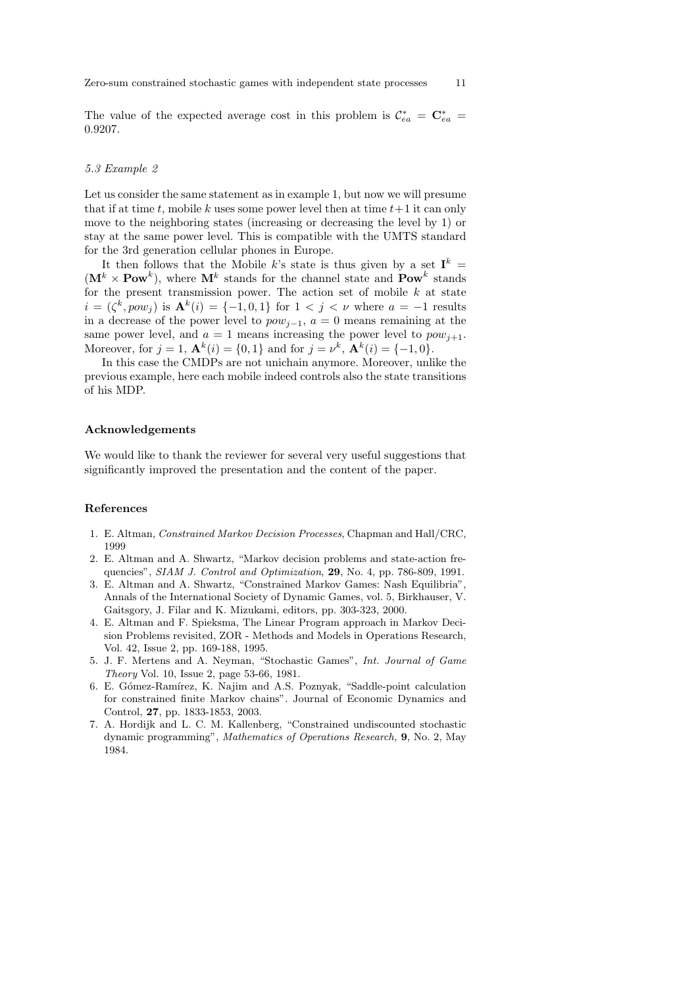The value of the expected average cost in this problem is  $\mathcal{C}^*_{ea} = \mathbf{C}^*_{ea}$ 0.9207.

#### 5.3 Example 2

Let us consider the same statement as in example 1, but now we will presume that if at time t, mobile k uses some power level then at time  $t+1$  it can only move to the neighboring states (increasing or decreasing the level by 1) or stay at the same power level. This is compatible with the UMTS standard for the 3rd generation cellular phones in Europe.

It then follows that the Mobile k's state is thus given by a set  $I^k =$  $(M^k \times \text{Pow}^k)$ , where  $M^k$  stands for the channel state and  $\text{Pow}^k$  stands for the present transmission power. The action set of mobile  $k$  at state  $i = (\zeta^k, pow_j)$  is  $\mathbf{A}^k(i) = \{-1, 0, 1\}$  for  $1 < j < \nu$  where  $a = -1$  results in a decrease of the power level to  $pow_{j-1}$ ,  $a = 0$  means remaining at the same power level, and  $a = 1$  means increasing the power level to  $pow_{i+1}$ . Moreover, for  $j = 1$ ,  $\mathbf{A}^k(i) = \{0, 1\}$  and for  $j = \nu^k$ ,  $\mathbf{A}^k(i) = \{-1, 0\}$ .

In this case the CMDPs are not unichain anymore. Moreover, unlike the previous example, here each mobile indeed controls also the state transitions of his MDP.

## Acknowledgements

We would like to thank the reviewer for several very useful suggestions that significantly improved the presentation and the content of the paper.

## References

- 1. E. Altman, Constrained Markov Decision Processes, Chapman and Hall/CRC, 1999
- 2. E. Altman and A. Shwartz, "Markov decision problems and state-action frequencies", SIAM J. Control and Optimization, 29, No. 4, pp. 786-809, 1991.
- 3. E. Altman and A. Shwartz, "Constrained Markov Games: Nash Equilibria", Annals of the International Society of Dynamic Games, vol. 5, Birkhauser, V. Gaitsgory, J. Filar and K. Mizukami, editors, pp. 303-323, 2000.
- 4. E. Altman and F. Spieksma, The Linear Program approach in Markov Decision Problems revisited, ZOR - Methods and Models in Operations Research, Vol. 42, Issue 2, pp. 169-188, 1995.
- 5. J. F. Mertens and A. Neyman, "Stochastic Games", Int. Journal of Game Theory Vol. 10, Issue 2, page 53-66, 1981.
- 6. E. Gómez-Ramírez, K. Najim and A.S. Poznyak, "Saddle-point calculation for constrained finite Markov chains". Journal of Economic Dynamics and Control, 27, pp. 1833-1853, 2003.
- 7. A. Hordijk and L. C. M. Kallenberg, "Constrained undiscounted stochastic dynamic programming", Mathematics of Operations Research, 9, No. 2, May 1984.